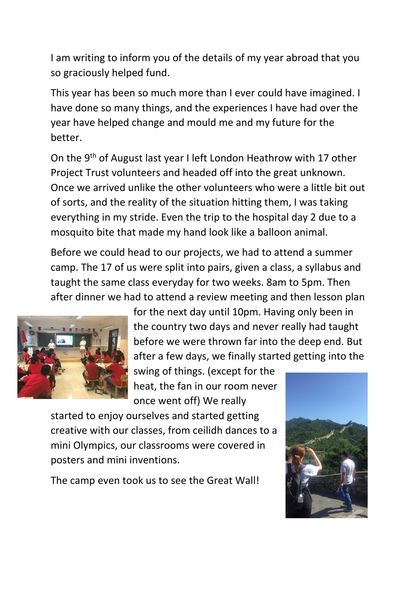I am writing to inform you of the details of my year abroad that you so graciously helped fund.

This year has been so much more than I ever could have imagined. I have done so many things, and the experiences I have had over the year have helped change and mould me and my future for the better.

On the 9th of August last year I left London Heathrow with 17 other Project Trust volunteers and headed off into the great unknown. Once we arrived unlike the other volunteers who were a little bit out of sorts, and the reality of the situation hitting them, I was taking everything in my stride. Even the trip to the hospital day 2 due to a mosquito bite that made my hand look like a balloon animal.

Before we could head to our projects, we had to attend a summer camp. The 17 of us were split into pairs, given a class, a syllabus and taught the same class everyday for two weeks. 8am to 5pm. Then after dinner we had to attend a review meeting and then lesson plan



for the next day until 10pm. Having only been in the country two days and never really had taught before we were thrown far into the deep end. But after a few days, we finally started getting into the

swing of things. (except for the heat, the fan in our room never once went off) We really

started to enjoy ourselves and started getting creative with our classes, from ceilidh dances to a mini Olympics, our classrooms were covered in posters and mini inventions.

The camp even took us to see the Great Wall!

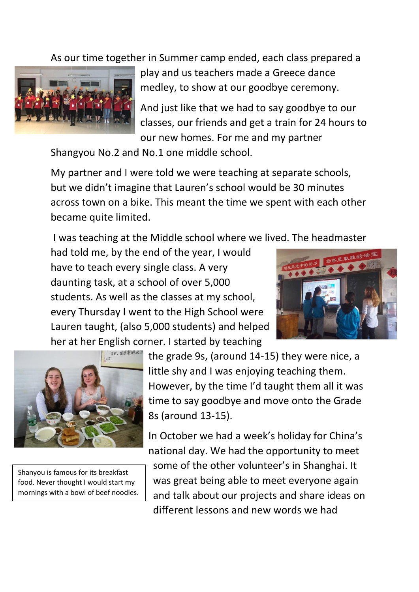As our time together in Summer camp ended, each class prepared a



play and us teachers made a Greece dance medley, to show at our goodbye ceremony.

And just like that we had to say goodbye to our classes, our friends and get a train for 24 hours to our new homes. For me and my partner

Shangyou No.2 and No.1 one middle school.

My partner and I were told we were teaching at separate schools, but we didn't imagine that Lauren's school would be 30 minutes across town on a bike. This meant the time we spent with each other became quite limited.

I was teaching at the Middle school where we lived. The headmaster

had told me, by the end of the year, I would have to teach every single class. A very daunting task, at a school of over 5,000 students. As well as the classes at my school, every Thursday I went to the High School were Lauren taught, (also 5,000 students) and helped her at her English corner. I started by teaching





Shanyou is famous for its breakfast food. Never thought I would start my mornings with a bowl of beef noodles. the grade 9s, (around 14-15) they were nice, a little shy and I was enjoying teaching them. However, by the time I'd taught them all it was time to say goodbye and move onto the Grade 8s (around 13-15).

In October we had a week's holiday for China's national day. We had the opportunity to meet some of the other volunteer's in Shanghai. It was great being able to meet everyone again and talk about our projects and share ideas on different lessons and new words we had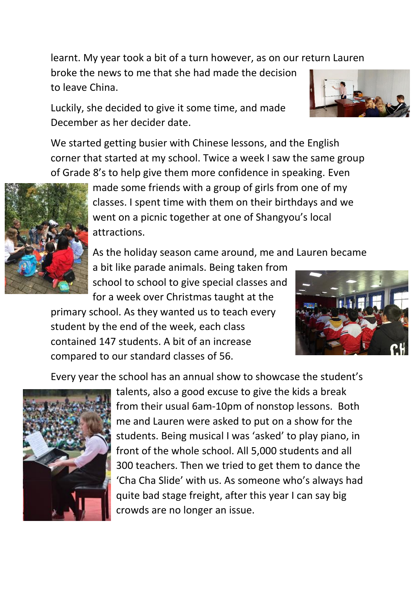learnt. My year took a bit of a turn however, as on our return Lauren

broke the news to me that she had made the decision to leave China.

Luckily, she decided to give it some time, and made December as her decider date.

We started getting busier with Chinese lessons, and the English corner that started at my school. Twice a week I saw the same group of Grade 8's to help give them more confidence in speaking. Even



made some friends with a group of girls from one of my classes. I spent time with them on their birthdays and we went on a picnic together at one of Shangyou's local attractions.

As the holiday season came around, me and Lauren became

a bit like parade animals. Being taken from school to school to give special classes and for a week over Christmas taught at the

primary school. As they wanted us to teach every student by the end of the week, each class contained 147 students. A bit of an increase compared to our standard classes of 56.



Every year the school has an annual show to showcase the student's



talents, also a good excuse to give the kids a break from their usual 6am-10pm of nonstop lessons. Both me and Lauren were asked to put on a show for the students. Being musical I was 'asked' to play piano, in front of the whole school. All 5,000 students and all 300 teachers. Then we tried to get them to dance the 'Cha Cha Slide' with us. As someone who's always had quite bad stage freight, after this year I can say big crowds are no longer an issue.

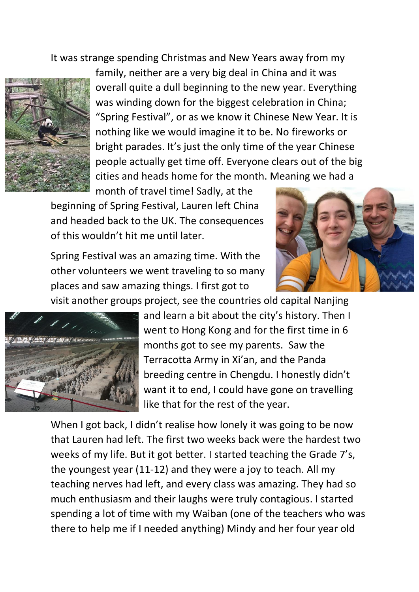It was strange spending Christmas and New Years away from my



family, neither are a very big deal in China and it was overall quite a dull beginning to the new year. Everything was winding down for the biggest celebration in China; "Spring Festival", or as we know it Chinese New Year. It is nothing like we would imagine it to be. No fireworks or bright parades. It's just the only time of the year Chinese people actually get time off. Everyone clears out of the big cities and heads home for the month. Meaning we had a

month of travel time! Sadly, at the beginning of Spring Festival, Lauren left China and headed back to the UK. The consequences of this wouldn't hit me until later.



Spring Festival was an amazing time. With the other volunteers we went traveling to so many places and saw amazing things. I first got to

visit another groups project, see the countries old capital Nanjing



and learn a bit about the city's history. Then I went to Hong Kong and for the first time in 6 months got to see my parents. Saw the Terracotta Army in Xi'an, and the Panda breeding centre in Chengdu. I honestly didn't want it to end, I could have gone on travelling like that for the rest of the year.

When I got back, I didn't realise how lonely it was going to be now that Lauren had left. The first two weeks back were the hardest two weeks of my life. But it got better. I started teaching the Grade 7's, the youngest year (11-12) and they were a joy to teach. All my teaching nerves had left, and every class was amazing. They had so much enthusiasm and their laughs were truly contagious. I started spending a lot of time with my Waiban (one of the teachers who was there to help me if I needed anything) Mindy and her four year old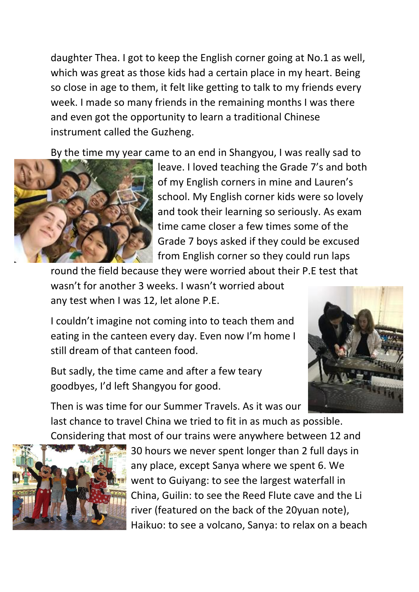daughter Thea. I got to keep the English corner going at No.1 as well, which was great as those kids had a certain place in my heart. Being so close in age to them, it felt like getting to talk to my friends every week. I made so many friends in the remaining months I was there and even got the opportunity to learn a traditional Chinese instrument called the Guzheng.

By the time my year came to an end in Shangyou, I was really sad to



leave. I loved teaching the Grade 7's and both of my English corners in mine and Lauren's school. My English corner kids were so lovely and took their learning so seriously. As exam time came closer a few times some of the Grade 7 boys asked if they could be excused from English corner so they could run laps

round the field because they were worried about their P.E test that wasn't for another 3 weeks. I wasn't worried about any test when I was 12, let alone P.E.

I couldn't imagine not coming into to teach them and eating in the canteen every day. Even now I'm home I still dream of that canteen food.



But sadly, the time came and after a few teary goodbyes, I'd left Shangyou for good.

Then is was time for our Summer Travels. As it was our last chance to travel China we tried to fit in as much as possible. Considering that most of our trains were anywhere between 12 and



30 hours we never spent longer than 2 full days in any place, except Sanya where we spent 6. We went to Guiyang: to see the largest waterfall in China, Guilin: to see the Reed Flute cave and the Li river (featured on the back of the 20yuan note), Haikuo: to see a volcano, Sanya: to relax on a beach